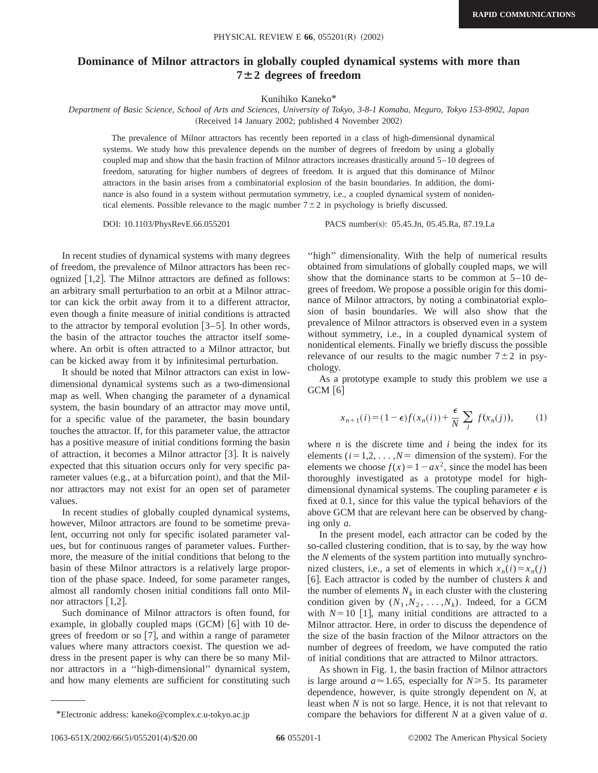## **Dominance of Milnor attractors in globally coupled dynamical systems with more than**  $7 \pm 2$  degrees of freedom

Kunihiko Kaneko\*

*Department of Basic Science, School of Arts and Sciences, University of Tokyo, 3-8-1 Komaba, Meguro, Tokyo 153-8902, Japan* (Received 14 January 2002; published 4 November 2002)

The prevalence of Milnor attractors has recently been reported in a class of high-dimensional dynamical systems. We study how this prevalence depends on the number of degrees of freedom by using a globally coupled map and show that the basin fraction of Milnor attractors increases drastically around 5–10 degrees of freedom, saturating for higher numbers of degrees of freedom. It is argued that this dominance of Milnor attractors in the basin arises from a combinatorial explosion of the basin boundaries. In addition, the dominance is also found in a system without permutation symmetry, i.e., a coupled dynamical system of nonidentical elements. Possible relevance to the magic number  $7\pm 2$  in psychology is briefly discussed.

DOI: 10.1103/PhysRevE.66.055201 PACS number(s): 05.45.Jn, 05.45.Ra, 87.19.La

In recent studies of dynamical systems with many degrees of freedom, the prevalence of Milnor attractors has been recognized  $[1,2]$ . The Milnor attractors are defined as follows: an arbitrary small perturbation to an orbit at a Milnor attractor can kick the orbit away from it to a different attractor, even though a finite measure of initial conditions is attracted to the attractor by temporal evolution  $[3-5]$ . In other words, the basin of the attractor touches the attractor itself somewhere. An orbit is often attracted to a Milnor attractor, but can be kicked away from it by infinitesimal perturbation.

It should be noted that Milnor attractors can exist in lowdimensional dynamical systems such as a two-dimensional map as well. When changing the parameter of a dynamical system, the basin boundary of an attractor may move until, for a specific value of the parameter, the basin boundary touches the attractor. If, for this parameter value, the attractor has a positive measure of initial conditions forming the basin of attraction, it becomes a Milnor attractor  $[3]$ . It is naively expected that this situation occurs only for very specific parameter values (e.g., at a bifurcation point), and that the Milnor attractors may not exist for an open set of parameter values.

In recent studies of globally coupled dynamical systems, however, Milnor attractors are found to be sometime prevalent, occurring not only for specific isolated parameter values, but for continuous ranges of parameter values. Furthermore, the measure of the initial conditions that belong to the basin of these Milnor attractors is a relatively large proportion of the phase space. Indeed, for some parameter ranges, almost all randomly chosen initial conditions fall onto Milnor attractors  $[1,2]$ .

Such dominance of Milnor attractors is often found, for example, in globally coupled maps  $(GCM)$   $[6]$  with 10 degrees of freedom or so  $[7]$ , and within a range of parameter values where many attractors coexist. The question we address in the present paper is why can there be so many Milnor attractors in a ''high-dimensional'' dynamical system, and how many elements are sufficient for constituting such

"high" dimensionality. With the help of numerical results obtained from simulations of globally coupled maps, we will show that the dominance starts to be common at 5–10 degrees of freedom. We propose a possible origin for this dominance of Milnor attractors, by noting a combinatorial explosion of basin boundaries. We will also show that the prevalence of Milnor attractors is observed even in a system without symmetry, i.e., in a coupled dynamical system of nonidentical elements. Finally we briefly discuss the possible relevance of our results to the magic number  $7\pm 2$  in psychology.

As a prototype example to study this problem we use a  $GCM [6]$ 

$$
x_{n+1}(i) = (1 - \epsilon)f(x_n(i)) + \frac{\epsilon}{N} \sum_j f(x_n(j)), \qquad (1)
$$

where  $n$  is the discrete time and  $i$  being the index for its elements  $(i=1,2,\ldots,N=$  dimension of the system). For the elements we choose  $f(x) = 1 - ax^2$ , since the model has been thoroughly investigated as a prototype model for highdimensional dynamical systems. The coupling parameter  $\epsilon$  is fixed at 0.1, since for this value the typical behaviors of the above GCM that are relevant here can be observed by changing only *a*.

In the present model, each attractor can be coded by the so-called clustering condition, that is to say, by the way how the *N* elements of the system partition into mutually synchronized clusters, i.e., a set of elements in which  $x_n(i) = x_n(j)$ [6]. Each attractor is coded by the number of clusters  $k$  and the number of elements  $N_k$  in each cluster with the clustering condition given by  $(N_1, N_2, \ldots, N_k)$ . Indeed, for a GCM with  $N=10$  [1], many initial conditions are attracted to a Milnor attractor. Here, in order to discuss the dependence of the size of the basin fraction of the Milnor attractors on the number of degrees of freedom, we have computed the ratio of initial conditions that are attracted to Milnor attractors.

As shown in Fig. 1, the basin fraction of Milnor attractors is large around  $a \approx 1.65$ , especially for  $N \ge 5$ . Its parameter dependence, however, is quite strongly dependent on *N*, at least when *N* is not so large. Hence, it is not that relevant to \*Electronic address: kaneko@complex.c.u-tokyo.ac.jp compare the behaviors for different *N* at a given value of *a*.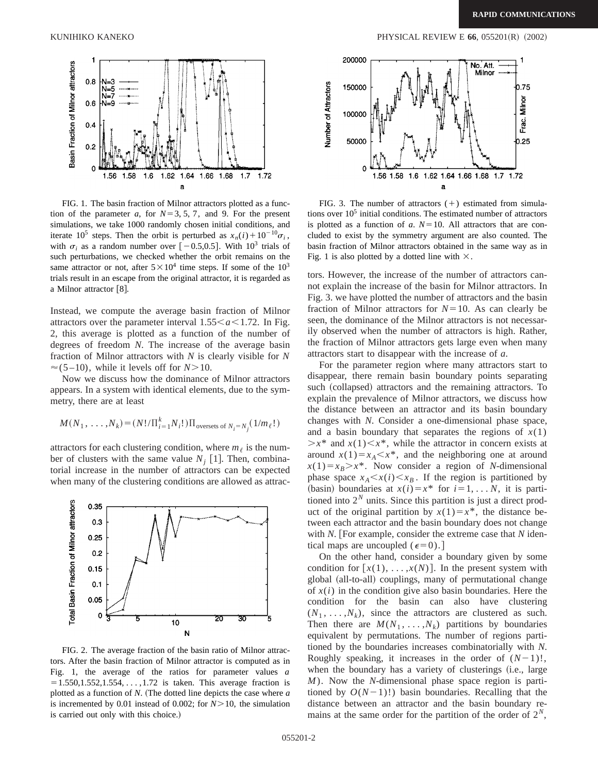

FIG. 1. The basin fraction of Milnor attractors plotted as a function of the parameter *a*, for  $N=3, 5, 7$ , and 9. For the present simulations, we take 1000 randomly chosen initial conditions, and iterate 10<sup>5</sup> steps. Then the orbit is perturbed as  $x_n(i) + 10^{-10} \sigma_i$ , with  $\sigma_i$  as a random number over  $[-0.5,0.5]$ . With 10<sup>3</sup> trials of such perturbations, we checked whether the orbit remains on the same attractor or not, after  $5 \times 10^4$  time steps. If some of the  $10^3$ trials result in an escape from the original attractor, it is regarded as a Milnor attractor [8].

Instead, we compute the average basin fraction of Milnor attractors over the parameter interval  $1.55 \le a \le 1.72$ . In Fig. 2, this average is plotted as a function of the number of degrees of freedom *N*. The increase of the average basin fraction of Milnor attractors with *N* is clearly visible for *N*  $\approx$  (5-10), while it levels off for *N*>10.

Now we discuss how the dominance of Milnor attractors appears. In a system with identical elements, due to the symmetry, there are at least

$$
M(N_1, \ldots, N_k) = (N! / \Pi_{i=1}^k N_i!) \Pi_{\text{oversets of } N_i = N_j} (1/m_\ell!)
$$

attractors for each clustering condition, where  $m_\ell$  is the number of clusters with the same value  $N_i$  [1]. Then, combinatorial increase in the number of attractors can be expected when many of the clustering conditions are allowed as attrac-



FIG. 2. The average fraction of the basin ratio of Milnor attractors. After the basin fraction of Milnor attractor is computed as in Fig. 1, the average of the ratios for parameter values *a*  $= 1.550, 1.552, 1.554, \ldots, 1.72$  is taken. This average fraction is plotted as a function of  $N$ . (The dotted line depicts the case where  $a$ is incremented by 0.01 instead of 0.002; for  $N > 10$ , the simulation is carried out only with this choice.)



FIG. 3. The number of attractors  $(+)$  estimated from simulations over  $10<sup>5</sup>$  initial conditions. The estimated number of attractors is plotted as a function of  $a$ .  $N=10$ . All attractors that are concluded to exist by the symmetry argument are also counted. The basin fraction of Milnor attractors obtained in the same way as in Fig. 1 is also plotted by a dotted line with  $\times$ .

tors. However, the increase of the number of attractors cannot explain the increase of the basin for Milnor attractors. In Fig. 3. we have plotted the number of attractors and the basin fraction of Milnor attractors for  $N=10$ . As can clearly be seen, the dominance of the Milnor attractors is not necessarily observed when the number of attractors is high. Rather, the fraction of Milnor attractors gets large even when many attractors start to disappear with the increase of *a*.

For the parameter region where many attractors start to disappear, there remain basin boundary points separating such (collapsed) attractors and the remaining attractors. To explain the prevalence of Milnor attractors, we discuss how the distance between an attractor and its basin boundary changes with *N*. Consider a one-dimensional phase space, and a basin boundary that separates the regions of  $x(1)$  $\geq x^*$  and  $x(1) \leq x^*$ , while the attractor in concern exists at around  $x(1)=x_A\leq x^*$ , and the neighboring one at around  $x(1)=x_B > x^*$ . Now consider a region of *N*-dimensional phase space  $x_A \leq x(i) \leq x_B$ . If the region is partitioned by (basin) boundaries at  $x(i) = x^*$  for  $i = 1, \ldots, N$ , it is partitioned into  $2^N$  units. Since this partition is just a direct product of the original partition by  $x(1)=x^*$ , the distance between each attractor and the basin boundary does not change with *N*. [For example, consider the extreme case that *N* identical maps are uncoupled  $(\epsilon=0)$ .

On the other hand, consider a boundary given by some condition for  $[x(1), \ldots, x(N)]$ . In the present system with global (all-to-all) couplings, many of permutational change of  $x(i)$  in the condition give also basin boundaries. Here the condition for the basin can also have clustering  $(N_1, \ldots, N_k)$ , since the attractors are clustered as such. Then there are  $M(N_1, \ldots, N_k)$  partitions by boundaries equivalent by permutations. The number of regions partitioned by the boundaries increases combinatorially with *N*. Roughly speaking, it increases in the order of  $(N-1)!$ , when the boundary has a variety of clusterings (i.e., large *M*). Now the *N*-dimensional phase space region is partitioned by  $O(N-1)!$ ) basin boundaries. Recalling that the distance between an attractor and the basin boundary remains at the same order for the partition of the order of  $2^N$ ,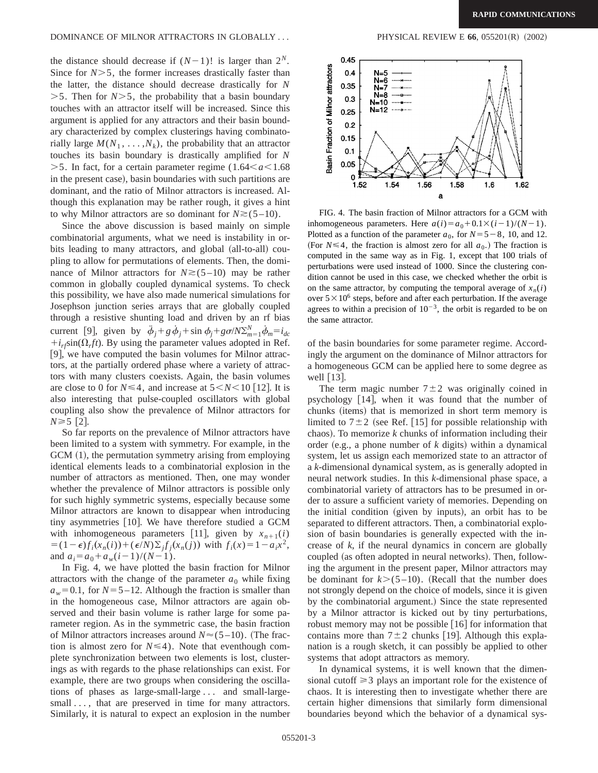the distance should decrease if  $(N-1)!$  is larger than  $2^N$ . Since for  $N > 5$ , the former increases drastically faster than the latter, the distance should decrease drastically for *N*  $>$  5. Then for *N* $>$  5, the probability that a basin boundary touches with an attractor itself will be increased. Since this argument is applied for any attractors and their basin boundary characterized by complex clusterings having combinatorially large  $M(N_1, \ldots, N_k)$ , the probability that an attractor touches its basin boundary is drastically amplified for *N*  $>$ 5. In fact, for a certain parameter regime (1.64 $< a$  $<$ 1.68 in the present case), basin boundaries with such partitions are dominant, and the ratio of Milnor attractors is increased. Although this explanation may be rather rough, it gives a hint to why Milnor attractors are so dominant for  $N \ge (5-10)$ .

Since the above discussion is based mainly on simple combinatorial arguments, what we need is instability in orbits leading to many attractors, and global (all-to-all) coupling to allow for permutations of elements. Then, the dominance of Milnor attractors for  $N \ge (5-10)$  may be rather common in globally coupled dynamical systems. To check this possibility, we have also made numerical simulations for Josephson junction series arrays that are globally coupled through a resistive shunting load and driven by an rf bias current [9], given by  $\ddot{\phi}_j + g \dot{\phi}_j + \sin \phi_j + g \sigma / N \sum_{m=1}^{N} \dot{\phi}_m = i_{dc}$  $+i_{rf}\sin(\Omega_r ft)$ . By using the parameter values adopted in Ref. [9], we have computed the basin volumes for Milnor attractors, at the partially ordered phase where a variety of attractors with many clusters coexists. Again, the basin volumes are close to 0 for  $N \le 4$ , and increase at  $5 \le N \le 10$  [12]. It is also interesting that pulse-coupled oscillators with global coupling also show the prevalence of Milnor attractors for  $N \ge 5$  [2].

So far reports on the prevalence of Milnor attractors have been limited to a system with symmetry. For example, in the  $GCM (1)$ , the permutation symmetry arising from employing identical elements leads to a combinatorial explosion in the number of attractors as mentioned. Then, one may wonder whether the prevalence of Milnor attractors is possible only for such highly symmetric systems, especially because some Milnor attractors are known to disappear when introducing tiny asymmetries  $[10]$ . We have therefore studied a GCM with inhomogeneous parameters [11], given by  $x_{n+1}(i)$  $= (1 - \epsilon)f_i(x_n(i)) + (\epsilon/N)\sum_i f_i(x_n(j))$  with  $f_i(x) = 1 - a_i x^2$ , and  $a_i = a_0 + a_w(i-1)/(N-1)$ .

In Fig. 4, we have plotted the basin fraction for Milnor attractors with the change of the parameter  $a_0$  while fixing  $a_w$ =0.1, for *N*=5–12. Although the fraction is smaller than in the homogeneous case, Milnor attractors are again observed and their basin volume is rather large for some parameter region. As in the symmetric case, the basin fraction of Milnor attractors increases around  $N \approx (5-10)$ . (The fraction is almost zero for  $N \leq 4$ ). Note that eventhough complete synchronization between two elements is lost, clusterings as with regards to the phase relationships can exist. For example, there are two groups when considering the oscillations of phases as large-small-large . . . and small-largesmall..., that are preserved in time for many attractors. Similarly, it is natural to expect an explosion in the number



FIG. 4. The basin fraction of Milnor attractors for a GCM with inhomogeneous parameters. Here  $a(i) = a_0 + 0.1 \times (i-1)/(N-1)$ . Plotted as a function of the parameter  $a_0$ , for  $N=5-8$ , 10, and 12. (For  $N \leq 4$ , the fraction is almost zero for all  $a_0$ .) The fraction is computed in the same way as in Fig. 1, except that 100 trials of perturbations were used instead of 1000. Since the clustering condition cannot be used in this case, we checked whether the orbit is on the same attractor, by computing the temporal average of  $x_n(i)$ over  $5 \times 10^6$  steps, before and after each perturbation. If the average agrees to within a precision of  $10^{-3}$ , the orbit is regarded to be on the same attractor.

of the basin boundaries for some parameter regime. Accordingly the argument on the dominance of Milnor attractors for a homogeneous GCM can be applied here to some degree as well  $|13|$ .

The term magic number  $7\pm 2$  was originally coined in psychology  $[14]$ , when it was found that the number of chunks (items) that is memorized in short term memory is limited to  $7\pm2$  (see Ref. [15] for possible relationship with chaos). To memorize  $k$  chunks of information including their order (e.g., a phone number of  $k$  digits) within a dynamical system, let us assign each memorized state to an attractor of a *k*-dimensional dynamical system, as is generally adopted in neural network studies. In this *k*-dimensional phase space, a combinatorial variety of attractors has to be presumed in order to assure a sufficient variety of memories. Depending on the initial condition (given by inputs), an orbit has to be separated to different attractors. Then, a combinatorial explosion of basin boundaries is generally expected with the increase of *k*, if the neural dynamics in concern are globally coupled (as often adopted in neural networks). Then, following the argument in the present paper, Milnor attractors may be dominant for  $k > (5 - 10)$ . (Recall that the number does not strongly depend on the choice of models, since it is given by the combinatorial argument.) Since the state represented by a Milnor attractor is kicked out by tiny perturbations, robust memory may not be possible  $[16]$  for information that contains more than  $7\pm 2$  chunks [19]. Although this explanation is a rough sketch, it can possibly be applied to other systems that adopt attractors as memory.

In dynamical systems, it is well known that the dimensional cutoff  $\geq$  3 plays an important role for the existence of chaos. It is interesting then to investigate whether there are certain higher dimensions that similarly form dimensional boundaries beyond which the behavior of a dynamical sys